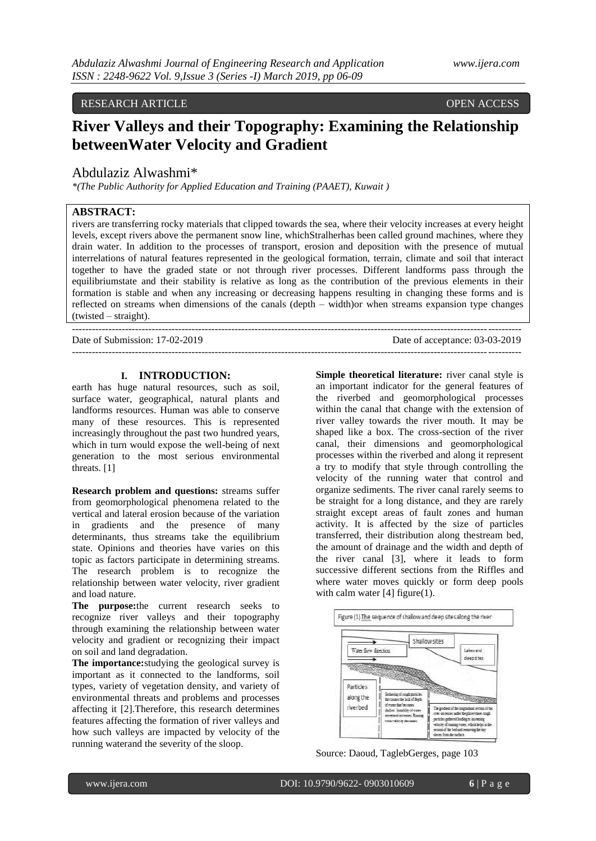RESEARCH ARTICLE **OPEN ACCESS** 

# **River Valleys and their Topography: Examining the Relationship betweenWater Velocity and Gradient**

## Abdulaziz Alwashmi\*

*\*(The Public Authority for Applied Education and Training (PAAET), Kuwait )*

### **ABSTRACT:**

rivers are transferring rocky materials that clipped towards the sea, where their velocity increases at every height levels, except rivers above the permanent snow line, whichStralherhas been called ground machines, where they drain water. In addition to the processes of transport, erosion and deposition with the presence of mutual interrelations of natural features represented in the geological formation, terrain, climate and soil that interact together to have the graded state or not through river processes. Different landforms pass through the equilibriumstate and their stability is relative as long as the contribution of the previous elements in their formation is stable and when any increasing or decreasing happens resulting in changing these forms and is reflected on streams when dimensions of the canals (depth – width)or when streams expansion type changes (twisted – straight).

---------------------------------------------------------------------------------------------------------------------------------------

Date of Submission: 17-02-2019 Date of acceptance: 03-03-2019  $-1\leq i\leq n-1\leq n-1\leq n-1\leq n-1\leq n-1\leq n-1\leq n-1\leq n-1\leq n-1\leq n-1\leq n-1\leq n-1\leq n-1\leq n-1\leq n-1\leq n-1\leq n-1\leq n-1\leq n-1\leq n-1\leq n-1\leq n-1\leq n-1\leq n-1\leq n-1\leq n-1\leq n-1\leq n-1\leq n-1\leq n-1\leq n-1\leq n-1\leq n-1\leq n-1\leq n-1\leq n$ 

#### **I. INTRODUCTION:**

earth has huge natural resources, such as soil, surface water, geographical, natural plants and landforms resources. Human was able to conserve many of these resources. This is represented increasingly throughout the past two hundred years, which in turn would expose the well-being of next generation to the most serious environmental threats. [1]

**Research problem and questions:** streams suffer from geomorphological phenomena related to the vertical and lateral erosion because of the variation in gradients and the presence of many determinants, thus streams take the equilibrium state. Opinions and theories have varies on this topic as factors participate in determining streams. The research problem is to recognize the relationship between water velocity, river gradient and load nature.

**The purpose:**the current research seeks to recognize river valleys and their topography through examining the relationship between water velocity and gradient or recognizing their impact on soil and land degradation.

**The importance:**studying the geological survey is important as it connected to the landforms, soil types, variety of vegetation density, and variety of environmental threats and problems and processes affecting it [2].Therefore, this research determines features affecting the formation of river valleys and how such valleys are impacted by velocity of the running waterand the severity of the sloop.

**Simple theoretical literature:** river canal style is an important indicator for the general features of the riverbed and geomorphological processes within the canal that change with the extension of river valley towards the river mouth. It may be shaped like a box. The cross-section of the river canal, their dimensions and geomorphological processes within the riverbed and along it represent a try to modify that style through controlling the velocity of the running water that control and organize sediments. The river canal rarely seems to be straight for a long distance, and they are rarely straight except areas of fault zones and human activity. It is affected by the size of particles transferred, their distribution along thestream bed, the amount of drainage and the width and depth of the river canal [3], where it leads to form successive different sections from the Riffles and where water moves quickly or form deep pools with calm water  $[4]$  figure(1).



Source: Daoud, TaglebGerges, page 103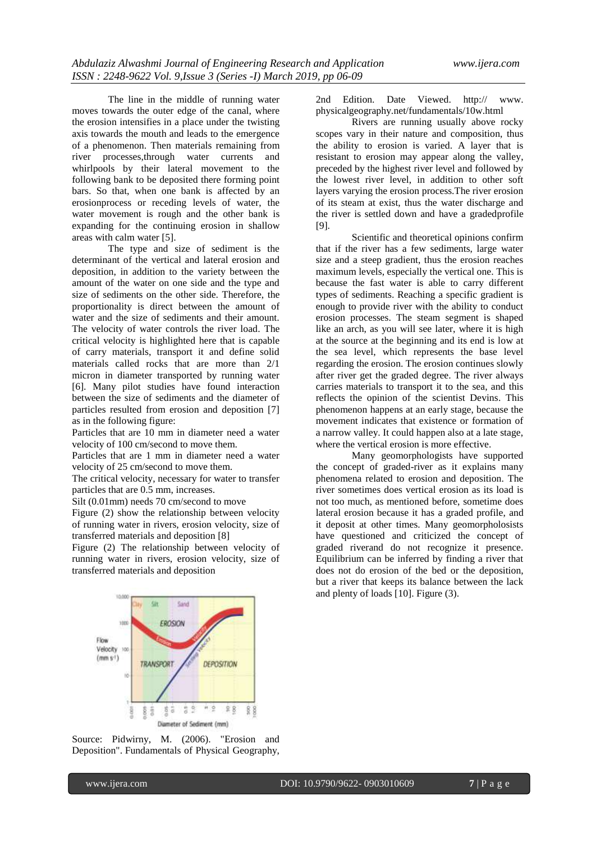The line in the middle of running water moves towards the outer edge of the canal, where the erosion intensifies in a place under the twisting axis towards the mouth and leads to the emergence of a phenomenon. Then materials remaining from river processes,through water currents and whirlpools by their lateral movement to the following bank to be deposited there forming point bars. So that, when one bank is affected by an erosionprocess or receding levels of water, the water movement is rough and the other bank is expanding for the continuing erosion in shallow areas with calm water [5].

The type and size of sediment is the determinant of the vertical and lateral erosion and deposition, in addition to the variety between the amount of the water on one side and the type and size of sediments on the other side. Therefore, the proportionality is direct between the amount of water and the size of sediments and their amount. The velocity of water controls the river load. The critical velocity is highlighted here that is capable of carry materials, transport it and define solid materials called rocks that are more than 2/1 micron in diameter transported by running water [6]. Many pilot studies have found interaction between the size of sediments and the diameter of particles resulted from erosion and deposition [7] as in the following figure:

Particles that are 10 mm in diameter need a water velocity of 100 cm/second to move them.

Particles that are 1 mm in diameter need a water velocity of 25 cm/second to move them.

The critical velocity, necessary for water to transfer particles that are 0.5 mm, increases.

Silt (0.01mm) needs 70 cm/second to move

Figure (2) show the relationship between velocity of running water in rivers, erosion velocity, size of transferred materials and deposition [8]

Figure (2) The relationship between velocity of running water in rivers, erosion velocity, size of transferred materials and deposition

2nd Edition. Date Viewed. http:// www. physicalgeography.net/fundamentals/10w.html

Rivers are running usually above rocky scopes vary in their nature and composition, thus the ability to erosion is varied. A layer that is resistant to erosion may appear along the valley, preceded by the highest river level and followed by the lowest river level, in addition to other soft layers varying the erosion process.The river erosion of its steam at exist, thus the water discharge and the river is settled down and have a gradedprofile [9].

Scientific and theoretical opinions confirm that if the river has a few sediments, large water size and a steep gradient, thus the erosion reaches maximum levels, especially the vertical one. This is because the fast water is able to carry different types of sediments. Reaching a specific gradient is enough to provide river with the ability to conduct erosion processes. The steam segment is shaped like an arch, as you will see later, where it is high at the source at the beginning and its end is low at the sea level, which represents the base level regarding the erosion. The erosion continues slowly after river get the graded degree. The river always carries materials to transport it to the sea, and this reflects the opinion of the scientist Devins. This phenomenon happens at an early stage, because the movement indicates that existence or formation of a narrow valley. It could happen also at a late stage, where the vertical erosion is more effective.

Many geomorphologists have supported the concept of graded-river as it explains many phenomena related to erosion and deposition. The river sometimes does vertical erosion as its load is not too much, as mentioned before, sometime does lateral erosion because it has a graded profile, and it deposit at other times. Many geomorpholosists have questioned and criticized the concept of graded riverand do not recognize it presence. Equilibrium can be inferred by finding a river that does not do erosion of the bed or the deposition, but a river that keeps its balance between the lack and plenty of loads [10]. Figure (3).



Source: Pidwirny, M. (2006). "Erosion and Deposition". Fundamentals of Physical Geography,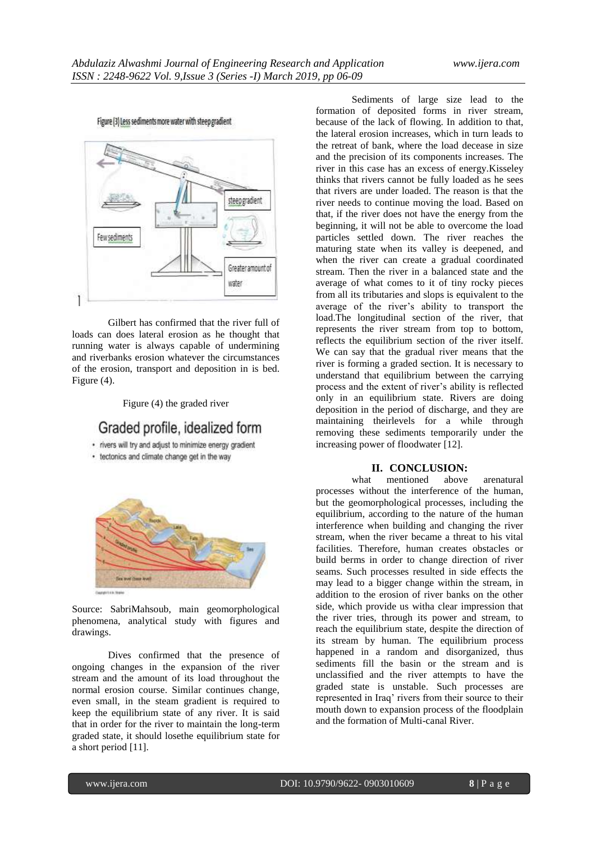Figure (3) Less sediments more water with steep gradient



Gilbert has confirmed that the river full of loads can does lateral erosion as he thought that running water is always capable of undermining and riverbanks erosion whatever the circumstances of the erosion, transport and deposition in is bed. Figure (4).

Figure (4) the graded river

## Graded profile, idealized form

· rivers will try and adjust to minimize energy gradient

• tectonics and climate change get in the way



Source: SabriMahsoub, main geomorphological phenomena, analytical study with figures and drawings.

Dives confirmed that the presence of ongoing changes in the expansion of the river stream and the amount of its load throughout the normal erosion course. Similar continues change, even small, in the steam gradient is required to keep the equilibrium state of any river. It is said that in order for the river to maintain the long-term graded state, it should losethe equilibrium state for a short period [11].

Sediments of large size lead to the formation of deposited forms in river stream, because of the lack of flowing. In addition to that, the lateral erosion increases, which in turn leads to the retreat of bank, where the load decease in size and the precision of its components increases. The river in this case has an excess of energy.Kisseley thinks that rivers cannot be fully loaded as he sees that rivers are under loaded. The reason is that the river needs to continue moving the load. Based on that, if the river does not have the energy from the beginning, it will not be able to overcome the load particles settled down. The river reaches the maturing state when its valley is deepened, and when the river can create a gradual coordinated stream. Then the river in a balanced state and the average of what comes to it of tiny rocky pieces from all its tributaries and slops is equivalent to the average of the river's ability to transport the load.The longitudinal section of the river, that represents the river stream from top to bottom, reflects the equilibrium section of the river itself. We can say that the gradual river means that the river is forming a graded section. It is necessary to understand that equilibrium between the carrying process and the extent of river's ability is reflected only in an equilibrium state. Rivers are doing deposition in the period of discharge, and they are maintaining theirlevels for a while through removing these sediments temporarily under the increasing power of floodwater [12].

#### **II. CONCLUSION:**

what mentioned above arenatural processes without the interference of the human, but the geomorphological processes, including the equilibrium, according to the nature of the human interference when building and changing the river stream, when the river became a threat to his vital facilities. Therefore, human creates obstacles or build berms in order to change direction of river seams. Such processes resulted in side effects the may lead to a bigger change within the stream, in addition to the erosion of river banks on the other side, which provide us witha clear impression that the river tries, through its power and stream, to reach the equilibrium state, despite the direction of its stream by human. The equilibrium process happened in a random and disorganized, thus sediments fill the basin or the stream and is unclassified and the river attempts to have the graded state is unstable. Such processes are represented in Iraq' rivers from their source to their mouth down to expansion process of the floodplain and the formation of Multi-canal River.